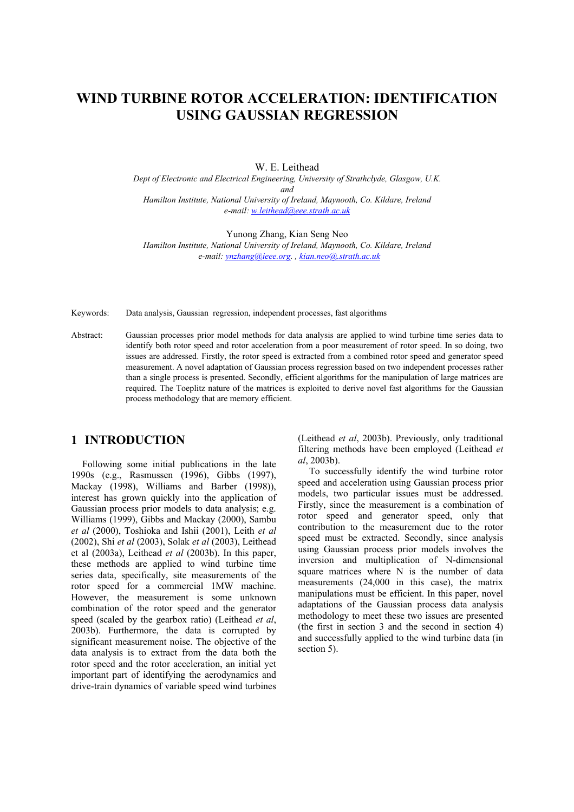# **WIND TURBINE ROTOR ACCELERATION: IDENTIFICATION USING GAUSSIAN REGRESSION**

W. E. Leithead

*Dept of Electronic and Electrical Engineering, University of Strathclyde, Glasgow, U.K. and Hamilton Institute, National University of Ireland, Maynooth, Co. Kildare, Ireland e-mail: [w.leithead@eee.strath.ac.uk](mailto:w.leithead@eee.strath.ac.uk)*

Yunong Zhang, Kian Seng Neo

*Hamilton Institute, National University of Ireland, Maynooth, Co. Kildare, Ireland e-mail: [ynzhang@ieee.org](mailto:ynzhang@ieee.org). , [kian.neo@.strath.ac.uk](mailto:kian.neo@.strath.ac.ukk)*

Keywords: Data analysis, Gaussian regression, independent processes, fast algorithms

Abstract: Gaussian processes prior model methods for data analysis are applied to wind turbine time series data to identify both rotor speed and rotor acceleration from a poor measurement of rotor speed. In so doing, two issues are addressed. Firstly, the rotor speed is extracted from a combined rotor speed and generator speed measurement. A novel adaptation of Gaussian process regression based on two independent processes rather than a single process is presented. Secondly, efficient algorithms for the manipulation of large matrices are required. The Toeplitz nature of the matrices is exploited to derive novel fast algorithms for the Gaussian process methodology that are memory efficient.

### **1 INTRODUCTION**

Following some initial publications in the late 1990s (e.g., Rasmussen (1996), Gibbs (1997), Mackay (1998), Williams and Barber (1998)), interest has grown quickly into the application of Gaussian process prior models to data analysis; e.g. Williams (1999), Gibbs and Mackay (2000), Sambu *et al* (2000), Toshioka and Ishii (2001), Leith *et al* (2002), Shi *et al* (2003), Solak *et al* (2003), Leithead et al (2003a), Leithead *et al* (2003b). In this paper, these methods are applied to wind turbine time series data, specifically, site measurements of the rotor speed for a commercial 1MW machine. However, the measurement is some unknown combination of the rotor speed and the generator speed (scaled by the gearbox ratio) (Leithead *et al*, 2003b). Furthermore, the data is corrupted by significant measurement noise. The objective of the data analysis is to extract from the data both the rotor speed and the rotor acceleration, an initial yet important part of identifying the aerodynamics and drive-train dynamics of variable speed wind turbines

(Leithead *et al*, 2003b). Previously, only traditional filtering methods have been employed (Leithead *et al*, 2003b).

To successfully identify the wind turbine rotor speed and acceleration using Gaussian process prior models, two particular issues must be addressed. Firstly, since the measurement is a combination of rotor speed and generator speed, only that contribution to the measurement due to the rotor speed must be extracted. Secondly, since analysis using Gaussian process prior models involves the inversion and multiplication of N-dimensional square matrices where N is the number of data measurements (24,000 in this case), the matrix manipulations must be efficient. In this paper, novel adaptations of the Gaussian process data analysis methodology to meet these two issues are presented (the first in section 3 and the second in section 4) and successfully applied to the wind turbine data (in section 5).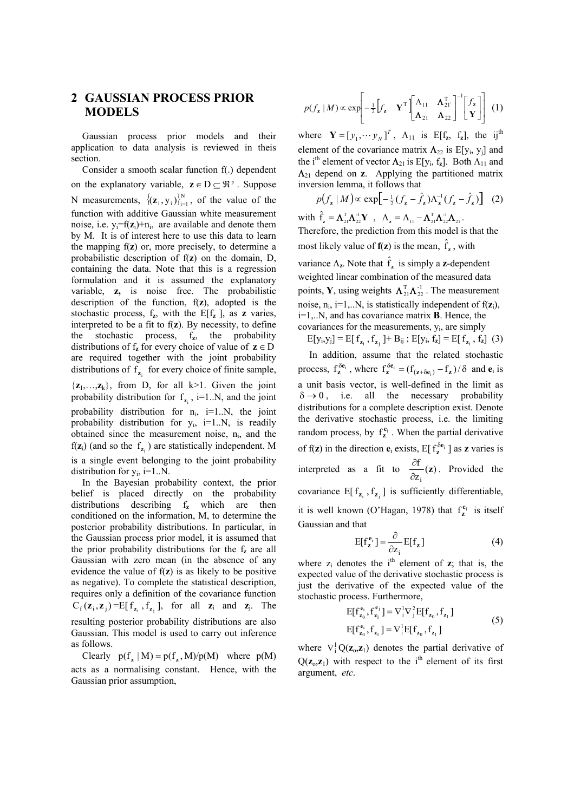## **2 GAUSSIAN PROCESS PRIOR MODELS**

Gaussian process prior models and their application to data analysis is reviewed in theis section.

Consider a smooth scalar function f(.) dependent on the explanatory variable,  $z \in D \subseteq \mathbb{R}^p$ . Suppose N measurements,  $\{(\mathbf{z}_i, y_i)\}_{i=1}^N$ , of the value of the function with additive Gaussian white measurement noise, i.e.  $y_i = f(z_i) + n_i$ , are available and denote them by M. It is of interest here to use this data to learn the mapping f(**z**) or, more precisely, to determine a probabilistic description of f(**z**) on the domain, D, containing the data. Note that this is a regression formulation and it is assumed the explanatory variable, **z,** is noise free. The probabilistic description of the function, f(**z**), adopted is the stochastic process,  $f_z$ , with the  $E[f_z]$ , as **z** varies, interpreted to be a fit to f(**z**). By necessity, to define the stochastic process, f**z**, the probability distributions of  $f_z$  for every choice of value of  $z \in D$ are required together with the joint probability distributions of  $f_{z_i}$  for every choice of finite sample,  $\{z_1, \ldots, z_k\}$ , from D, for all k>1. Given the joint  $f(z_i)$  (and so the  $f_{z_i}$ ) are statistically independent. M probability distribution for  $f_{z_i}$ , i=1..N, and the joint probability distribution for  $n_i$ , i=1..N, the joint probability distribution for  $y_i$ , i=1..N, is readily obtained since the measurement noise,  $n_i$ , and the is a single event belonging to the joint probability distribution for  $y_i$ , i=1..N.

In the Bayesian probability context, the prior belief is placed directly on the probability distributions describing f**z** which are then conditioned on the information, M, to determine the posterior probability distributions. In particular, in the Gaussian process prior model, it is assumed that the prior probability distributions for the f**z** are all Gaussian with zero mean (in the absence of any evidence the value of f(**z**) is as likely to be positive as negative). To complete the statistical description, requires only a definition of the covariance function  $C_f(\mathbf{z}_i, \mathbf{z}_j) = E[f_{\mathbf{z}_i}, f_{\mathbf{z}_i}]$ , for all  $\mathbf{z}_i$  and  $\mathbf{z}_j$ . The resulting posterior probability distributions are also Gaussian. This model is used to carry out inference as follows.

Clearly  $p(f_z | M) = p(f_z, M)/p(M)$  where  $p(M)$ acts as a normalising constant. Hence, with the Gaussian prior assumption,

$$
p(f_{\mathbf{z}} \mid M) \propto \exp\left[-\frac{1}{2}\left[f_{\mathbf{z}} \mathbf{Y}^{\mathrm{T}}\right] \begin{bmatrix} \Lambda_{11} & \mathbf{\Lambda}_{21}^{\mathrm{T}} \\ \mathbf{\Lambda}_{21} & \mathbf{\Lambda}_{22} \end{bmatrix}^{-1} \begin{bmatrix} f_{\mathbf{z}} \\ \mathbf{Y} \end{bmatrix}\right] (1)
$$

where  $\mathbf{Y} = [y_1, \dots y_N]^T$ ,  $\Lambda_{11}$  is E[f<sub>z</sub>, f<sub>z</sub>], the ij<sup>th</sup> element of the covariance matrix  $\Lambda_{22}$  is E[y<sub>i</sub>, y<sub>i</sub>] and the i<sup>th</sup> element of vector  $\Lambda_{21}$  is E[y<sub>i</sub>, f<sub>z</sub>]. Both  $\Lambda_{11}$  and  $\Lambda_{21}$  depend on **z**. Applying the partitioned matrix inversion lemma, it follows that

$$
p(f_{z} | M) \propto \exp\left[-\frac{1}{2}(f_{z} - \hat{f}_{z})\Lambda_{z}^{-1}(f_{z} - \hat{f}_{z})\right]
$$
 (2)

with  $\hat{f}_z = \mathbf{\Lambda}_{21}^{\mathrm{T}} \mathbf{\Lambda}_{22}^{\mathrm{-1}} \mathbf{Y}$ ,  $\Lambda_z = \Lambda_{11} - \mathbf{\Lambda}_{21}^{\mathrm{T}} \mathbf{\Lambda}_{22}^{\mathrm{-1}} \mathbf{\Lambda}_{21}$ . Therefore, the prediction from this model is that the most likely value of  $f(z)$  is the mean,  $\hat{f}_z$ , with variance  $\Lambda_z$ . Note that  $\hat{f}_z$  is simply a **z**-dependent points, **Y**, using weights  $\Lambda_{21}^T \Lambda_{22}^{1}$ . The measurement weighted linear combination of the measured data noise,  $n_i$ ,  $i=1...N$ , is statistically independent of  $f(z_i)$ , i=1,..N, and has covariance matrix **B**. Hence, the covariances for the measurements,  $y_i$ , are simply

 $E[y_i, y_j] = E[f_{z_i}, f_{z_j}] + B_{ij}$ ;  $E[y_i, f_z] = E[f_{z_i}, f_z]$  (3)

In addition, assume that the related stochastic process,  $f_{\mathbf{z}}^{\delta \mathbf{e}_i}$ , where  $f_{\mathbf{z}}^{\delta \mathbf{e}_i} = (f_{(\mathbf{z} + \delta \mathbf{e}_i)} - f_{\mathbf{z}})/\delta$  and **e**  $\sum_{\mathbf{z}}^{\delta \mathbf{e}_i} = (f_{(\mathbf{z} + \delta \mathbf{e}_i)} - f_{\mathbf{z}})/\delta$  and  $\mathbf{e}_i$  is a unit basis vector, is well-defined in the limit as  $\delta \rightarrow 0$ , i.e. all the necessary probability distributions for a complete description exist. Denote the derivative stochastic process, i.e. the limiting random process, by  $f_z^{\mathbf{e}_i}$ . When the partial derivative of f(**z**) in the direction **e**<sub>i</sub> exists, E[ $f_{\mathbf{z}}^{\delta \mathbf{e}_i}$ ] as **z** varies is interpreted as a fit to  $\frac{\partial f}{\partial z_i}(\mathbf{z})$ i  $rac{\partial I}{\partial z_i}(\mathbf{z})$  $\frac{\partial f}{\partial x}$  (z). Provided the covariance  $E[f_{z_i}, f_{z_i}]$  is sufficiently differentiable, it is well known (O'Hagan, 1978) that  $f_z^{e_i}$  is itself Gaussian and that

$$
E[f_z^{\mathbf{e}_i}] = \frac{\partial}{\partial z_i} E[f_z]
$$
 (4)

where  $z_i$  denotes the i<sup>th</sup> element of  $z_i$ ; that is, the expected value of the derivative stochastic process is just the derivative of the expected value of the stochastic process. Furthermore,

$$
E[f_{z_0}^{e_i}, f_{z_1}^{e_j}] = \nabla_i^1 \nabla_j^2 E[f_{z_0}, f_{z_1}]
$$
  
\n
$$
E[f_{z_0}^{e_i}, f_{z_1}] = \nabla_i^1 E[f_{z_0}, f_{z_1}]
$$
\n(5)

where  $\nabla^1_{\mathbf{i}} \mathbf{Q}(\mathbf{z}_{0}, \mathbf{z}_{1})$  denotes the partial derivative of  $Q(\mathbf{z}_0, \mathbf{z}_1)$  with respect to the i<sup>th</sup> element of its first argument, *etc*.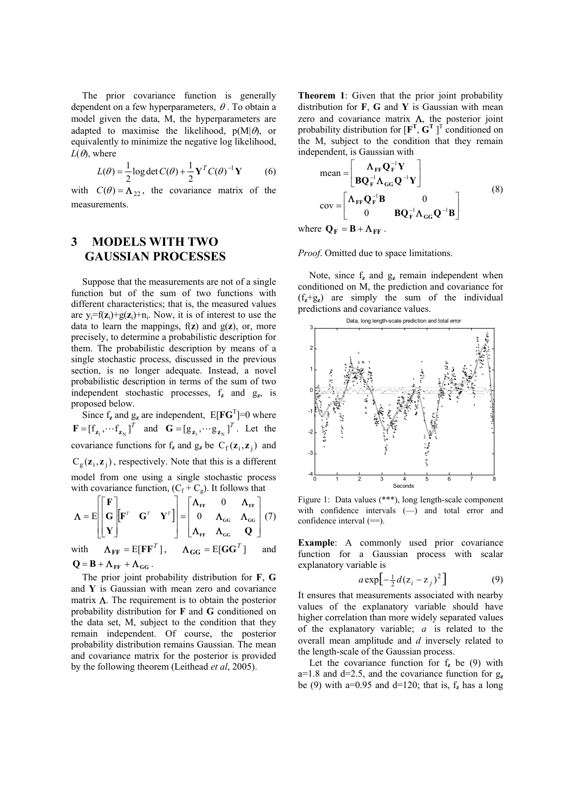The prior covariance function is generally dependent on a few hyperparameters,  $\theta$ . To obtain a model given the data, M, the hyperparameters are adapted to maximise the likelihood,  $p(M|\theta)$ , or equivalently to minimize the negative log likelihood,  $L(\theta)$ , where

$$
L(\theta) = \frac{1}{2} \log \det C(\theta) + \frac{1}{2} \mathbf{Y}^T C(\theta)^{-1} \mathbf{Y}
$$
 (6)

with  $C(\theta) = \Lambda_{22}$ , the covariance matrix of the measurements.

## **3 MODELS WITH TWO GAUSSIAN PROCESSES**

Suppose that the measurements are not of a single function but of the sum of two functions with different characteristics; that is, the measured values are  $y_i = f(z_i) + g(z_i) + n_i$ . Now, it is of interest to use the data to learn the mappings,  $f(z)$  and  $g(z)$ , or, more precisely, to determine a probabilistic description for them. The probabilistic description by means of a single stochastic process, discussed in the previous section, is no longer adequate. Instead, a novel probabilistic description in terms of the sum of two independent stochastic processes, f**z** and g**z**, is proposed below.

Since  $f_z$  and  $g_z$  are independent,  $E[FG^T]=0$  where  $\mathbf{F} = \begin{bmatrix} f_{\mathbf{z}_1}, \cdots f_{\mathbf{z}_N} \end{bmatrix}^T$  and  $\mathbf{G} = \begin{bmatrix} g_{\mathbf{z}_1}, \cdots g_{\mathbf{z}_N} \end{bmatrix}^T$ . Let the covariance functions for  $f_z$  and  $g_z$  be  $C_f(z_i, z_j)$  and  $C_{\rm g}(\mathbf{z}_{\rm i}, \mathbf{z}_{\rm j})$ , respectively. Note that this is a different model from one using a single stochastic process with covariance function,  $(C_f + C_g)$ . It follows that

$$
\Lambda = E \begin{bmatrix} \mathbf{F} \\ \mathbf{G} \\ \mathbf{Y} \end{bmatrix} \begin{bmatrix} \mathbf{F}^T & \mathbf{G}^T & \mathbf{Y}^T \end{bmatrix} = \begin{bmatrix} \Lambda_{FF} & 0 & \Lambda_{FF} \\ 0 & \Lambda_{GG} & \Lambda_{GG} \\ \Lambda_{FF} & \Lambda_{GG} & \mathbf{Q} \end{bmatrix} (7)
$$

with  $\Lambda_{\text{FF}} = E[\mathbf{F}\mathbf{F}^T], \quad \Lambda_{\text{GG}} = E[\mathbf{G}\mathbf{G}^T]$  and  $Q = B + \Lambda_{FF} + \Lambda_{GG}$ .

The prior joint probability distribution for **F**, **G** and **Y** is Gaussian with mean zero and covariance matrix  $\Lambda$ . The requirement is to obtain the posterior probability distribution for **F** and **G** conditioned on the data set, M, subject to the condition that they remain independent. Of course, the posterior probability distribution remains Gaussian. The mean and covariance matrix for the posterior is provided by the following theorem (Leithead *et al*, 2005).

**Theorem 1**: Given that the prior joint probability distribution for **F**, **G** and **Y** is Gaussian with mean zero and covariance matrix  $\Lambda$ , the posterior joint probability distribution for  $[\mathbf{F}^T, \mathbf{G}^T]$ <sup>T</sup> conditioned on the M, subject to the condition that they remain independent, is Gaussian with

$$
\text{mean} = \begin{bmatrix} \mathbf{\Lambda}_{\text{FF}} \mathbf{Q}_{\text{F}}^{-1} \mathbf{Y} \\ \mathbf{B} \mathbf{Q}_{\text{F}}^{-1} \mathbf{\Lambda}_{\text{GG}} \mathbf{Q}^{-1} \mathbf{Y} \end{bmatrix}
$$
\n
$$
\text{cov} = \begin{bmatrix} \mathbf{\Lambda}_{\text{FF}} \mathbf{Q}_{\text{F}}^{-1} \mathbf{B} & \mathbf{0} \\ \mathbf{0} & \mathbf{B} \mathbf{Q}_{\text{F}}^{-1} \mathbf{\Lambda}_{\text{GG}} \mathbf{Q}^{-1} \mathbf{B} \end{bmatrix}
$$
\n
$$
\text{res} \ \mathbf{\Omega} = \mathbf{B} + \mathbf{\Lambda}
$$
\n(8)

where  $\mathbf{Q}_\mathbf{F} = \mathbf{B} + \mathbf{\Lambda}_{\mathbf{F}\mathbf{F}}$ .

*Proof*. Omitted due to space limitations.

Note, since  $f_z$  and  $g_z$  remain independent when conditioned on M, the prediction and covariance for  $(f_z + g_z)$  are simply the sum of the individual predictions and covariance values.



Figure 1: Data values (\*\*\*), long length-scale component with confidence intervals (-) and total error and confidence interval (==).

**Example**: A commonly used prior covariance function for a Gaussian process with scalar explanatory variable is

$$
a \exp\left[-\frac{1}{2}d(z_i - z_j)^2\right] \tag{9}
$$

It ensures that measurements associated with nearby values of the explanatory variable should have higher correlation than more widely separated values of the explanatory variable;  $a$  is related to the overall mean amplitude and *d* inversely related to the length-scale of the Gaussian process.

Let the covariance function for  $f<sub>z</sub>$  be (9) with  $a=1.8$  and  $d=2.5$ , and the covariance function for  $g_a$ be (9) with a=0.95 and  $d=120$ ; that is,  $f<sub>z</sub>$  has a long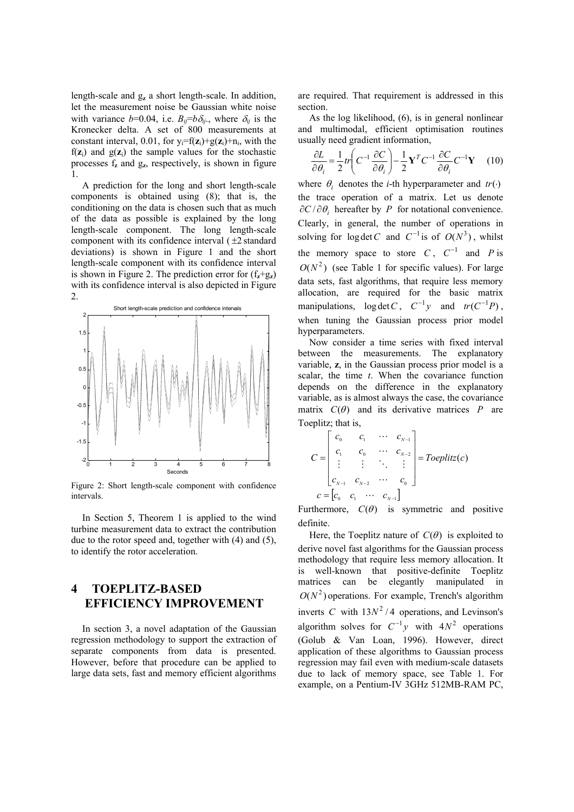length-scale and g**z** a short length-scale. In addition, let the measurement noise be Gaussian white noise with variance  $b=0.04$ , i.e.  $B_{ij}=b\delta_{ij}$ , where  $\delta_{ij}$  is the Kronecker delta. A set of 800 measurements at constant interval, 0.01, for  $y_i = f(z_i) + g(z_i) + n_i$ , with the  $f(z_i)$  and  $g(z_i)$  the sample values for the stochastic processes f**z** and g**z**, respectively, is shown in figure 1.

A prediction for the long and short length-scale components is obtained using (8); that is, the conditioning on the data is chosen such that as much of the data as possible is explained by the long length-scale component. The long length-scale component with its confidence interval  $(±2$  standard deviations) is shown in Figure 1 and the short length-scale component with its confidence interval is shown in Figure 2. The prediction error for  $(f_z + g_z)$ with its confidence interval is also depicted in Figure 2.



Figure 2: Short length-scale component with confidence intervals.

In Section 5, Theorem 1 is applied to the wind turbine measurement data to extract the contribution due to the rotor speed and, together with (4) and (5), to identify the rotor acceleration.

## **4 TOEPLITZ-BASED EFFICIENCY IMPROVEMENT**

In section 3, a novel adaptation of the Gaussian regression methodology to support the extraction of separate components from data is presented. However, before that procedure can be applied to large data sets, fast and memory efficient algorithms

are required. That requirement is addressed in this section.

As the log likelihood, (6), is in general nonlinear and multimodal, efficient optimisation routines usually need gradient information,

$$
\frac{\partial L}{\partial \theta_i} = \frac{1}{2} tr \left( C^{-1} \frac{\partial C}{\partial \theta_i} \right) - \frac{1}{2} \mathbf{Y}^T C^{-1} \frac{\partial C}{\partial \theta_i} C^{-1} \mathbf{Y} \tag{10}
$$

where  $\theta_i$  denotes the *i*-th hyperparameter and  $tr(\cdot)$ the trace operation of a matrix. Let us denote  $\partial C/\partial \theta$ , hereafter by *P* for notational convenience. Clearly, in general, the number of operations in solving for  $\log \det C$  and  $C^{-1}$  is of  $O(N^3)$ , whilst the memory space to store C,  $C^{-1}$  and P is  $O(N^2)$  (see Table 1 for specific values). For large data sets, fast algorithms, that require less memory allocation, are required for the basic matrix manipulations,  $\log \det C$ ,  $C^{-1}y$  and  $tr(C^{-1}P)$ , when tuning the Gaussian process prior model hyperparameters.

Now consider a time series with fixed interval between the measurements. The explanatory variable, **z**, in the Gaussian process prior model is a scalar, the time *t*. When the covariance function depends on the difference in the explanatory variable, as is almost always the case, the covariance matrix  $C(\theta)$  and its derivative matrices *P* are Toeplitz; that is,

$$
C = \begin{bmatrix} c_0 & c_1 & \cdots & c_{N-1} \\ c_1 & c_0 & \cdots & c_{N-2} \\ \vdots & \vdots & \ddots & \vdots \\ c_{N-1} & c_{N-2} & \cdots & c_0 \end{bmatrix} = Toeplitz(c)
$$
  

$$
c = [c_0 \quad c_1 \quad \cdots \quad c_{N-1}]
$$

Furthermore,  $C(\theta)$  is symmetric and positive definite.

Here, the Toeplitz nature of  $C(\theta)$  is exploited to algorithm solves for  $C^{-1}y$  with  $4N^2$  operations derive novel fast algorithms for the Gaussian process methodology that require less memory allocation. It is well-known that positive-definite Toeplitz matrices can be elegantly manipulated in  $O(N^2)$  operations. For example, Trench's algorithm inverts C with  $13N^2/4$  operations, and Levinson's (Golub & Van Loan, 1996). However, direct application of these algorithms to Gaussian process regression may fail even with medium-scale datasets due to lack of memory space, see Table 1. For example, on a Pentium-IV 3GHz 512MB-RAM PC,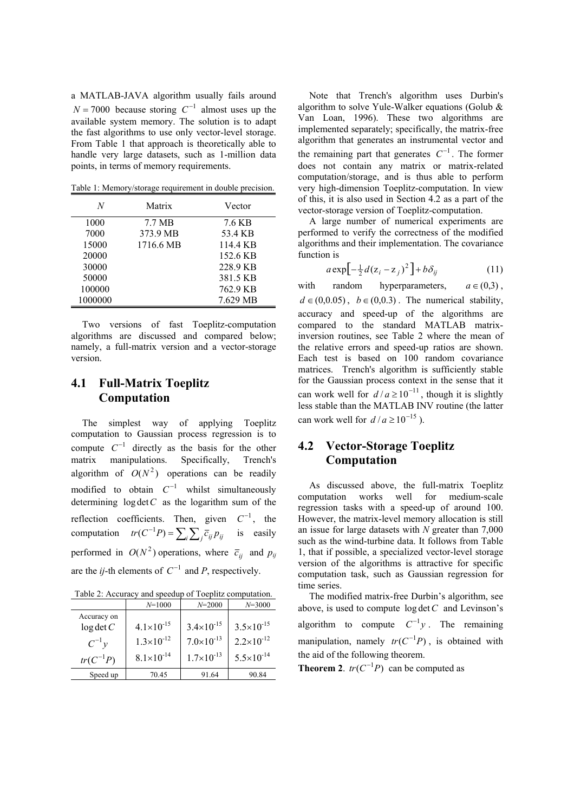a MATLAB-JAVA algorithm usually fails around  $N = 7000$  because storing  $C^{-1}$  almost uses up the available system memory. The solution is to adapt the fast algorithms to use only vector-level storage. From Table 1 that approach is theoretically able to handle very large datasets, such as 1-million data points, in terms of memory requirements.

Table 1: Memory/storage requirement in double precision.

| N       | Matrix    | Vector   |
|---------|-----------|----------|
| 1000    | 7.7 MB    | 7.6 KB   |
| 7000    | 373.9 MB  | 53.4 KB  |
| 15000   | 1716.6 MB | 114.4 KB |
| 20000   |           | 152.6 KB |
| 30000   |           | 228.9 KB |
| 50000   |           | 381.5 KB |
| 100000  |           | 762.9 KB |
| 1000000 |           | 7.629 MB |

Two versions of fast Toeplitz-computation algorithms are discussed and compared below; namely, a full-matrix version and a vector-storage version.

#### **4.1 Full-Matrix Toeplitz Computation**

The simplest way of applying Toeplitz computation to Gaussian process regression is to compute  $C^{-1}$  directly as the basis for the other matrix manipulations. Specifically, Trench's algorithm of  $O(N^2)$  operations can be readily modified to obtain  $C^{-1}$  whilst simultaneously determining  $\log \det C$  as the logarithm sum of the reflection coefficients. Then, given  $C^{-1}$ , the computation  $tr(C^{-1}P) = \sum_i \sum_j \overline{c}_{ij} p_{ij}$  is easily performed in  $O(N^2)$  operations, where  $\overline{c}_{ij}$  and  $p_{ij}$ are the *ij*-th elements of  $C^{-1}$  and *P*, respectively.

| Table 2: Accuracy and speedup of Toeplitz computation. |  |  |
|--------------------------------------------------------|--|--|
|                                                        |  |  |

|               | $N = 1000$            | $N = 2000$            | $N = 3000$            |
|---------------|-----------------------|-----------------------|-----------------------|
| Accuracy on   |                       |                       |                       |
| $log \det C$  | $4.1 \times 10^{-15}$ | $3.4 \times 10^{-15}$ | $3.5 \times 10^{-15}$ |
| $C^{-1}$ y    | $1.3 \times 10^{-12}$ | $7.0\times10^{-13}$   | $2.2 \times 10^{-12}$ |
| $tr(C^{-1}P)$ | $8.1 \times 10^{-14}$ | $1.7\times10^{-13}$   | $5.5 \times 10^{-14}$ |
| Speed up      | 70.45                 | 91.64                 | 90.84                 |

Note that Trench's algorithm uses Durbin's algorithm to solve Yule-Walker equations (Golub  $\&$ Van Loan, 1996). These two algorithms are implemented separately; specifically, the matrix-free algorithm that generates an instrumental vector and the remaining part that generates  $C^{-1}$ . The former does not contain any matrix or matrix-related computation/storage, and is thus able to perform very high-dimension Toeplitz-computation. In view of this, it is also used in Section 4.2 as a part of the vector-storage version of Toeplitz-computation.

A large number of numerical experiments are performed to verify the correctness of the modified algorithms and their implementation. The covariance function is

$$
a \exp\left[-\frac{1}{2}d(z_i - z_j)^2\right] + b\delta_{ij} \tag{11}
$$

with random hyperparameters,  $a \in (0,3)$ ,  $d \in (0,0.05)$ ,  $b \in (0,0.3)$ . The numerical stability, can work well for  $d/a \ge 10^{-11}$ , though it is slightly can work well for  $d/a \ge 10^{-15}$ ). accuracy and speed-up of the algorithms are compared to the standard MATLAB matrixinversion routines, see Table 2 where the mean of the relative errors and speed-up ratios are shown. Each test is based on 100 random covariance matrices. Trench's algorithm is sufficiently stable for the Gaussian process context in the sense that it less stable than the MATLAB INV routine (the latter

## **4.2 Vector-Storage Toeplitz Computation**

As discussed above, the full-matrix Toeplitz computation works well for medium-scale regression tasks with a speed-up of around 100. However, the matrix-level memory allocation is still an issue for large datasets with *N* greater than 7,000 such as the wind-turbine data. It follows from Table 1, that if possible, a specialized vector-level storage version of the algorithms is attractive for specific computation task, such as Gaussian regression for time series.

The modified matrix-free Durbin's algorithm, see above, is used to compute  $log \det C$  and Levinson's algorithm to compute  $C^{-1}y$ . The remaining manipulation, namely  $tr(C^{-1}P)$ , is obtained with the aid of the following theorem.

**Theorem 2**.  $tr(C^{-1}P)$  can be computed as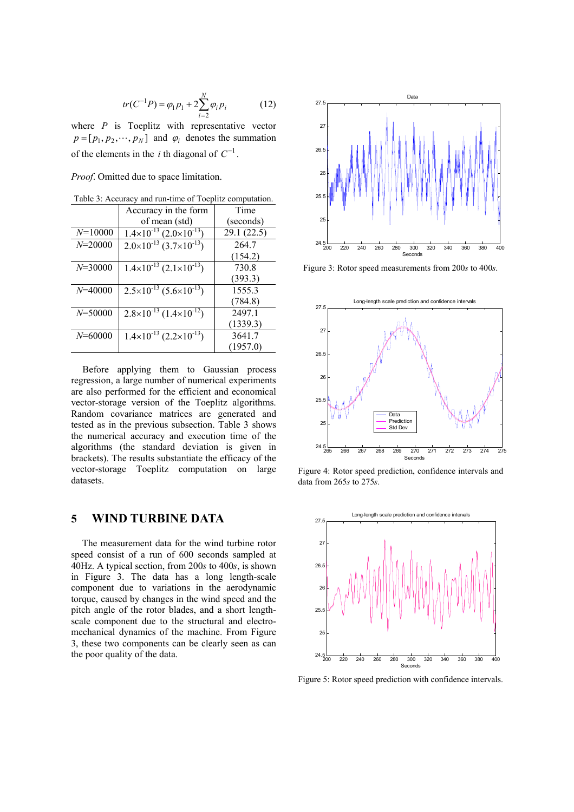$$
tr(C^{-1}P) = \varphi_1 p_1 + 2 \sum_{i=2}^{N} \varphi_i p_i \tag{12}
$$

where  $P$  is Toeplitz with representative vector  $p = [p_1, p_2, \dots, p_N]$  and  $\varphi_i$  denotes the summation of the elements in the *i* th diagonal of  $C^{-1}$ .

*Proof*. Omitted due to space limitation.

|             | Accuracy in the form                              | Time       |
|-------------|---------------------------------------------------|------------|
|             | of mean (std)                                     | (seconds)  |
| $N = 10000$ | $\frac{1.4 \times 10^{-13}}{2.0 \times 10^{-13}}$ | 29.1(22.5) |
| $N = 20000$ | $2.0\times10^{-13}$ $(3.7\times10^{-13})$         | 264.7      |
|             |                                                   | (154.2)    |
| $N = 30000$ | $1.4\times10^{-13}$ $(2.1\times10^{-13})$         | 730.8      |
|             |                                                   | (393.3)    |
| $N = 40000$ | $2.5 \times 10^{-13}$ $(5.6 \times 10^{-13})$     | 1555.3     |
|             |                                                   | (784.8)    |
| $N = 50000$ | $2.8\times10^{-13}$ $(1.4\times10^{-12})$         | 2497.1     |
|             |                                                   | (1339.3)   |
| $N = 60000$ | $1.4\times10^{-13}$ $(2.2\times10^{-13})$         | 3641.7     |
|             |                                                   | (1957.0)   |
|             |                                                   |            |

Table 3: Accuracy and run-time of Toeplitz computation.

Before applying them to Gaussian process regression, a large number of numerical experiments are also performed for the efficient and economical vector-storage version of the Toeplitz algorithms. Random covariance matrices are generated and tested as in the previous subsection. Table 3 shows the numerical accuracy and execution time of the algorithms (the standard deviation is given in brackets). The results substantiate the efficacy of the vector-storage Toeplitz computation on large datasets.

## **5 WIND TURBINE DATA**

The measurement data for the wind turbine rotor speed consist of a run of 600 seconds sampled at 40Hz. A typical section, from 200*s* to 400*s*, is shown in Figure 3. The data has a long length-scale component due to variations in the aerodynamic torque, caused by changes in the wind speed and the pitch angle of the rotor blades, and a short lengthscale component due to the structural and electromechanical dynamics of the machine. From Figure 3, these two components can be clearly seen as can the poor quality of the data.



Figure 3: Rotor speed measurements from 200*s* to 400*s*.



Figure 4: Rotor speed prediction, confidence intervals and data from 265*s* to 275*s*.



Figure 5: Rotor speed prediction with confidence intervals.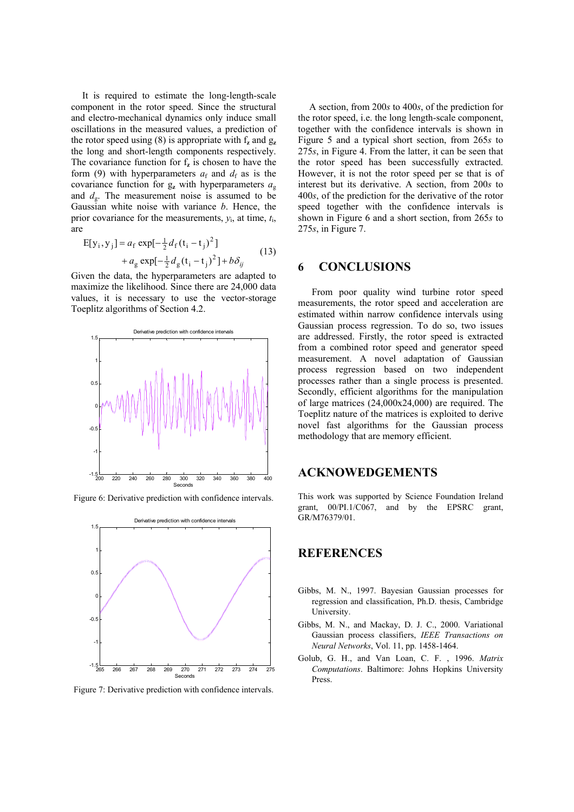It is required to estimate the long-length-scale component in the rotor speed. Since the structural and electro-mechanical dynamics only induce small oscillations in the measured values, a prediction of the rotor speed using (8) is appropriate with  $f_z$  and  $g_z$ the long and short-length components respectively. The covariance function for  $f<sub>z</sub>$  is chosen to have the form (9) with hyperparameters  $a_f$  and  $d_f$  as is the covariance function for g**z** with hyperparameters *a*<sup>g</sup> and  $d_g$ . The measurement noise is assumed to be Gaussian white noise with variance *b*. Hence, the prior covariance for the measurements,  $y_i$ , at time,  $t_i$ , are

$$
E[y_i, y_j] = a_f \exp[-\frac{1}{2}d_f(t_i - t_j)^2] + a_g \exp[-\frac{1}{2}d_g(t_i - t_j)^2] + b\delta_{ij}
$$
 (13)

Given the data, the hyperparameters are adapted to maximize the likelihood. Since there are 24,000 data values, it is necessary to use the vector-storage Toeplitz algorithms of Section 4.2.



Figure 6: Derivative prediction with confidence intervals.



Figure 7: Derivative prediction with confidence intervals.

A section, from 200*s* to 400*s*, of the prediction for the rotor speed, i.e. the long length-scale component, together with the confidence intervals is shown in Figure 5 and a typical short section, from 265*s* to 275*s*, in Figure 4. From the latter, it can be seen that the rotor speed has been successfully extracted. However, it is not the rotor speed per se that is of interest but its derivative. A section, from 200*s* to 400*s*, of the prediction for the derivative of the rotor speed together with the confidence intervals is shown in Figure 6 and a short section, from 265*s* to 275*s*, in Figure 7.

#### **6 CONCLUSIONS**

From poor quality wind turbine rotor speed measurements, the rotor speed and acceleration are estimated within narrow confidence intervals using Gaussian process regression. To do so, two issues are addressed. Firstly, the rotor speed is extracted from a combined rotor speed and generator speed measurement. A novel adaptation of Gaussian process regression based on two independent processes rather than a single process is presented. Secondly, efficient algorithms for the manipulation of large matrices (24,000x24,000) are required. The Toeplitz nature of the matrices is exploited to derive novel fast algorithms for the Gaussian process methodology that are memory efficient.

## **ACKNOWEDGEMENTS**

This work was supported by Science Foundation Ireland grant, 00/PI.1/C067, and by the EPSRC grant, GR/M76379/01.

## **REFERENCES**

- Gibbs, M. N., 1997. Bayesian Gaussian processes for regression and classification, Ph.D. thesis, Cambridge University.
- Gibbs, M. N., and Mackay, D. J. C., 2000. Variational Gaussian process classifiers, *IEEE Transactions on Neural Networks*, Vol. 11, pp. 1458-1464.
- Golub, G. H., and Van Loan, C. F. , 1996. *Matrix Computations*. Baltimore: Johns Hopkins University Press.